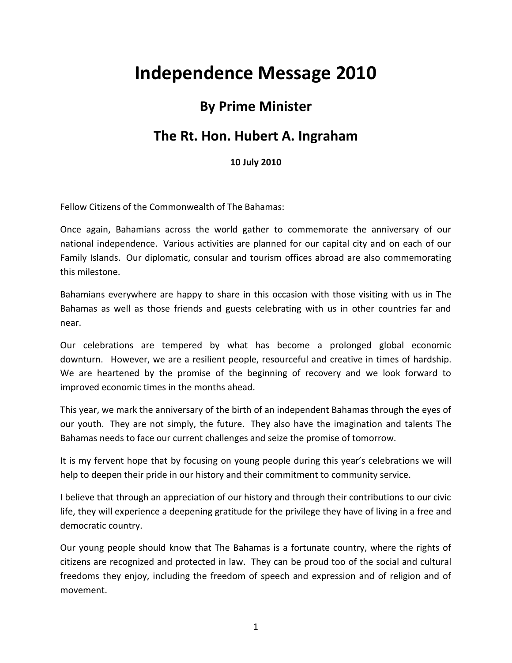## **Independence Message 2010**

## **By Prime Minister**

## **The Rt. Hon. Hubert A. Ingraham**

## **10 July 2010**

Fellow Citizens of the Commonwealth of The Bahamas:

Once again, Bahamians across the world gather to commemorate the anniversary of our national independence. Various activities are planned for our capital city and on each of our Family Islands. Our diplomatic, consular and tourism offices abroad are also commemorating this milestone.

Bahamians everywhere are happy to share in this occasion with those visiting with us in The Bahamas as well as those friends and guests celebrating with us in other countries far and near.

Our celebrations are tempered by what has become a prolonged global economic downturn. However, we are a resilient people, resourceful and creative in times of hardship. We are heartened by the promise of the beginning of recovery and we look forward to improved economic times in the months ahead.

This year, we mark the anniversary of the birth of an independent Bahamas through the eyes of our youth. They are not simply, the future. They also have the imagination and talents The Bahamas needs to face our current challenges and seize the promise of tomorrow.

It is my fervent hope that by focusing on young people during this year's celebrations we will help to deepen their pride in our history and their commitment to community service.

I believe that through an appreciation of our history and through their contributions to our civic life, they will experience a deepening gratitude for the privilege they have of living in a free and democratic country.

Our young people should know that The Bahamas is a fortunate country, where the rights of citizens are recognized and protected in law. They can be proud too of the social and cultural freedoms they enjoy, including the freedom of speech and expression and of religion and of movement.